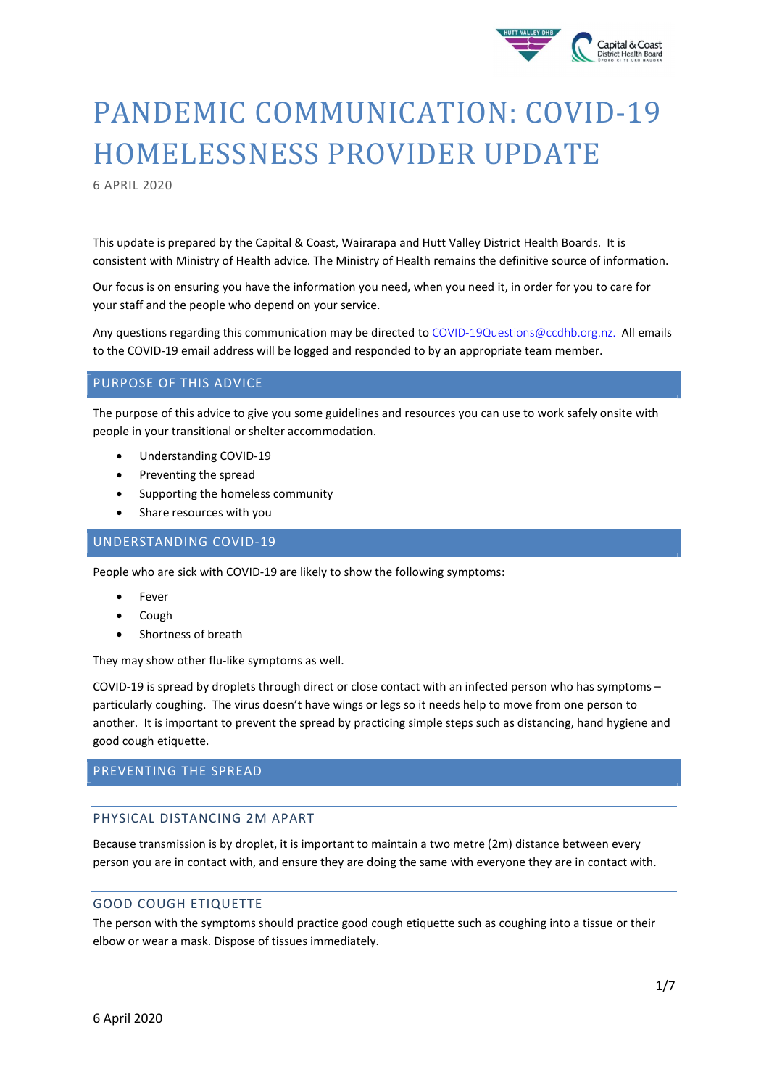

# PANDEMIC COMMUNICATION: COVID-19 HOMELESSNESS PROVIDER UPDATE

6 APRIL 2020

This update is prepared by the Capital & Coast, Wairarapa and Hutt Valley District Health Boards. It is consistent with Ministry of Health advice. The Ministry of Health remains the definitive source of information.

Our focus is on ensuring you have the information you need, when you need it, in order for you to care for your staff and the people who depend on your service.

Any questions regarding this communication may be directed to COVID-19Questions@ccdhb.org.nz. All emails to the COVID-19 email address will be logged and responded to by an appropriate team member.

## PURPOSE OF THIS ADVICE

The purpose of this advice to give you some guidelines and resources you can use to work safely onsite with people in your transitional or shelter accommodation.

- Understanding COVID-19
- Preventing the spread
- Supporting the homeless community
- Share resources with you

## UNDERSTANDING COVID-19

People who are sick with COVID-19 are likely to show the following symptoms:

- Fever
- Cough
- Shortness of breath

They may show other flu-like symptoms as well.

COVID-19 is spread by droplets through direct or close contact with an infected person who has symptoms – particularly coughing. The virus doesn't have wings or legs so it needs help to move from one person to another. It is important to prevent the spread by practicing simple steps such as distancing, hand hygiene and good cough etiquette.

## PREVENTING THE SPREAD

#### PHYSICAL DISTANCING 2M APART

Because transmission is by droplet, it is important to maintain a two metre (2m) distance between every person you are in contact with, and ensure they are doing the same with everyone they are in contact with.

#### GOOD COUGH ETIQUETTE

The person with the symptoms should practice good cough etiquette such as coughing into a tissue or their elbow or wear a mask. Dispose of tissues immediately.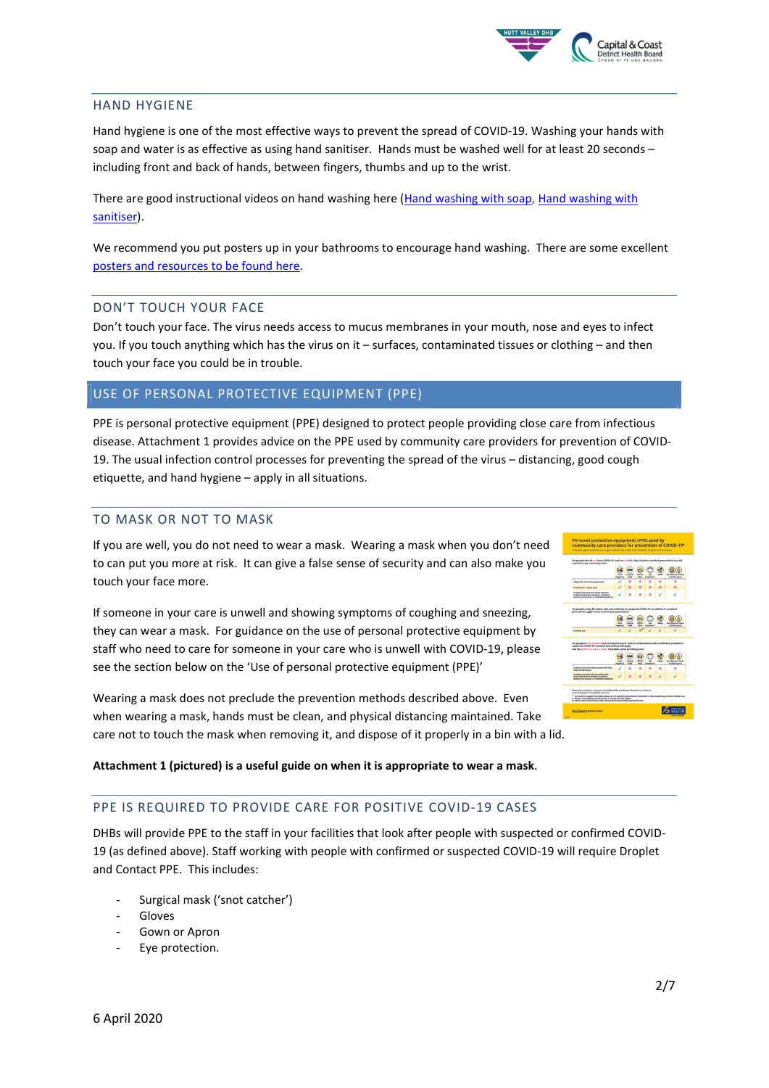

#### HAND HYGIENE

Hand hygiene is one of the most effective ways to prevent the spread of COVID-19. Washing your hands with soap and water is as effective as using hand sanitiser. Hands must be washed well for at least 20 seconds – including front and back of hands, between fingers, thumbs and up to the wrist.

There are good instructional videos on hand washing here (Hand washing with soap, Hand washing with sanitiser).

We recommend you put posters up in your bathrooms to encourage hand washing. There are some excellent posters and resources to be found here.

#### DON'T TOUCH YOUR FACE

Don't touch your face. The virus needs access to mucus membranes in your mouth, nose and eyes to infect you. If you touch anything which has the virus on it – surfaces, contaminated tissues or clothing – and then touch your face you could be in trouble.

#### USE OF PERSONAL PROTECTIVE EQUIPMENT (PPE)

PPE is personal protective equipment (PPE) designed to protect people providing close care from infectious disease. Attachment 1 provides advice on the PPE used by community care providers for prevention of COVID-19. The usual infection control processes for preventing the spread of the virus – distancing, good cough etiquette, and hand hygiene – apply in all situations.

### TO MASK OR NOT TO MASK

If you are well, you do not need to wear a mask. Wearing a mask when you don't need to can put you more at risk. It can give a false sense of security and can also make you touch your face more.

If someone in your care is unwell and showing symptoms of coughing and sneezing, they can wear a mask. For guidance on the use of personal protective equipment by staff who need to care for someone in your care who is unwell with COVID-19, please see the section below on the 'Use of personal protective equipment (PPE)'

Wearing a mask does not preclude the prevention methods described above. Even when wearing a mask, hands must be clean, and physical distancing maintained. Take care not to touch the mask when removing it, and dispose of it properly in a bin with a lid.



Attachment 1 (pictured) is a useful guide on when it is appropriate to wear a mask.

#### PPE IS REQUIRED TO PROVIDE CARE FOR POSITIVE COVID-19 CASES

DHBs will provide PPE to the staff in your facilities that look after people with suspected or confirmed COVID-19 (as defined above). Staff working with people with confirmed or suspected COVID-19 will require Droplet and Contact PPE. This includes:

- Surgical mask ('snot catcher')
- **Gloves**
- Gown or Apron
- Eye protection.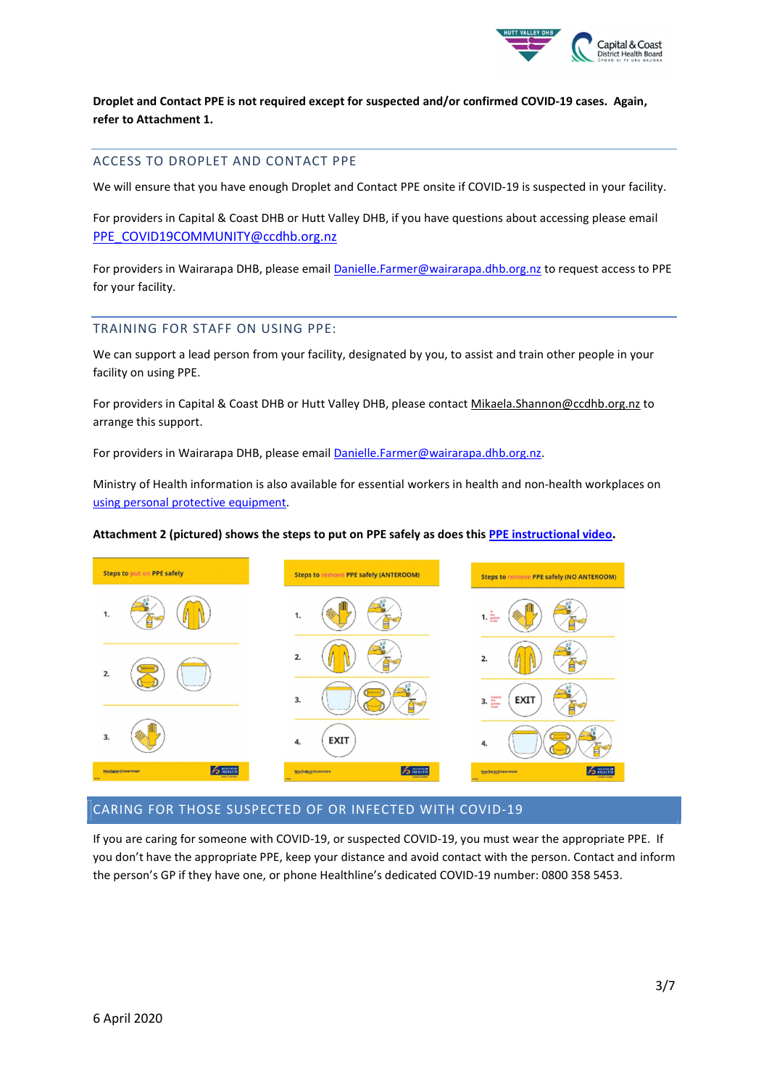

Droplet and Contact PPE is not required except for suspected and/or confirmed COVID-19 cases. Again, refer to Attachment 1.

#### ACCESS TO DROPLET AND CONTACT PPE

We will ensure that you have enough Droplet and Contact PPE onsite if COVID-19 is suspected in your facility.

For providers in Capital & Coast DHB or Hutt Valley DHB, if you have questions about accessing please email PPE\_COVID19COMMUNITY@ccdhb.org.nz

For providers in Wairarapa DHB, please email Danielle.Farmer@wairarapa.dhb.org.nz to request access to PPE for your facility.

#### TRAINING FOR STAFF ON USING PPE:

We can support a lead person from your facility, designated by you, to assist and train other people in your facility on using PPE.

For providers in Capital & Coast DHB or Hutt Valley DHB, please contact Mikaela.Shannon@ccdhb.org.nz to arrange this support.

For providers in Wairarapa DHB, please email Danielle.Farmer@wairarapa.dhb.org.nz.

Ministry of Health information is also available for essential workers in health and non-health workplaces on using personal protective equipment.

#### Attachment 2 (pictured) shows the steps to put on PPE safely as does this PPE instructional video.



#### CARING FOR THOSE SUSPECTED OF OR INFECTED WITH COVID-19

If you are caring for someone with COVID-19, or suspected COVID-19, you must wear the appropriate PPE. If you don't have the appropriate PPE, keep your distance and avoid contact with the person. Contact and inform the person's GP if they have one, or phone Healthline's dedicated COVID-19 number: 0800 358 5453.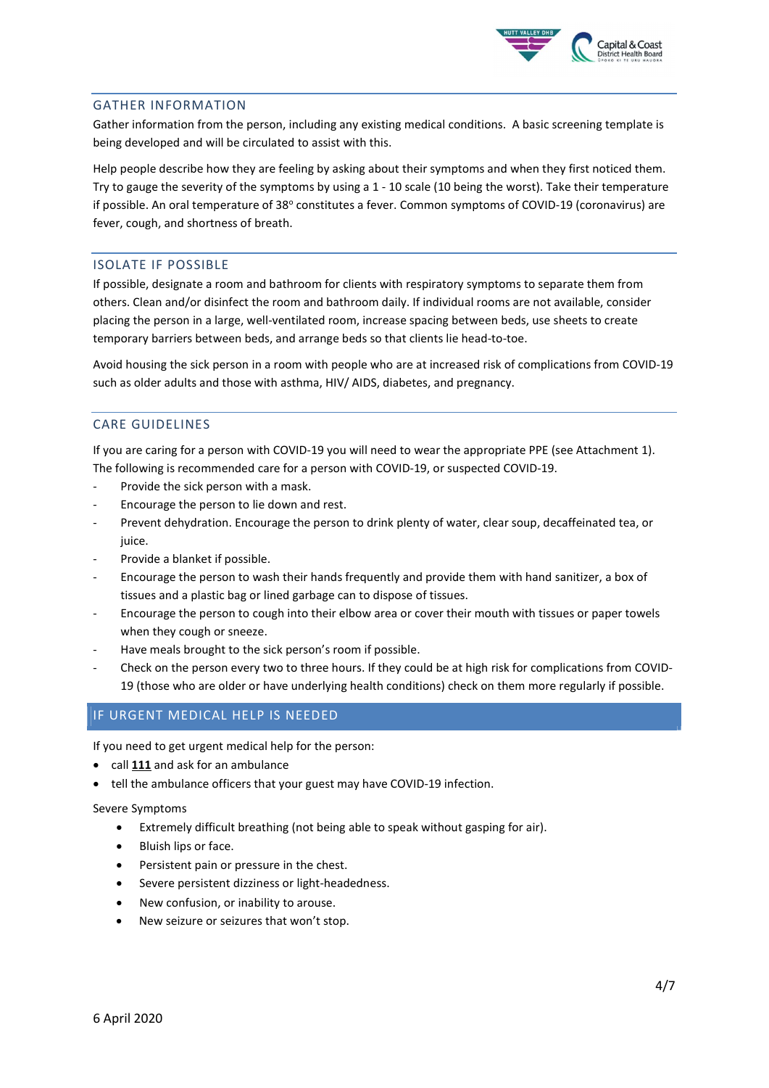

#### GATHER INFORMATION

Gather information from the person, including any existing medical conditions. A basic screening template is being developed and will be circulated to assist with this.

Help people describe how they are feeling by asking about their symptoms and when they first noticed them. Try to gauge the severity of the symptoms by using a 1 - 10 scale (10 being the worst). Take their temperature if possible. An oral temperature of 38° constitutes a fever. Common symptoms of COVID-19 (coronavirus) are fever, cough, and shortness of breath.

#### ISOLATE IF POSSIBLE

If possible, designate a room and bathroom for clients with respiratory symptoms to separate them from others. Clean and/or disinfect the room and bathroom daily. If individual rooms are not available, consider placing the person in a large, well-ventilated room, increase spacing between beds, use sheets to create temporary barriers between beds, and arrange beds so that clients lie head-to-toe.

Avoid housing the sick person in a room with people who are at increased risk of complications from COVID-19 such as older adults and those with asthma, HIV/ AIDS, diabetes, and pregnancy.

#### CARE GUIDELINES

If you are caring for a person with COVID-19 you will need to wear the appropriate PPE (see Attachment 1). The following is recommended care for a person with COVID-19, or suspected COVID-19.

- Provide the sick person with a mask.
- Encourage the person to lie down and rest.
- Prevent dehydration. Encourage the person to drink plenty of water, clear soup, decaffeinated tea, or juice.
- Provide a blanket if possible.
- Encourage the person to wash their hands frequently and provide them with hand sanitizer, a box of tissues and a plastic bag or lined garbage can to dispose of tissues.
- Encourage the person to cough into their elbow area or cover their mouth with tissues or paper towels when they cough or sneeze.
- Have meals brought to the sick person's room if possible.
- Check on the person every two to three hours. If they could be at high risk for complications from COVID-19 (those who are older or have underlying health conditions) check on them more regularly if possible.

#### IF URGENT MEDICAL HELP IS NEEDED

If you need to get urgent medical help for the person:

- call 111 and ask for an ambulance
- tell the ambulance officers that your guest may have COVID-19 infection.

#### Severe Symptoms

- Extremely difficult breathing (not being able to speak without gasping for air).
- Bluish lips or face.
- Persistent pain or pressure in the chest.
- Severe persistent dizziness or light-headedness.
- New confusion, or inability to arouse.
- New seizure or seizures that won't stop.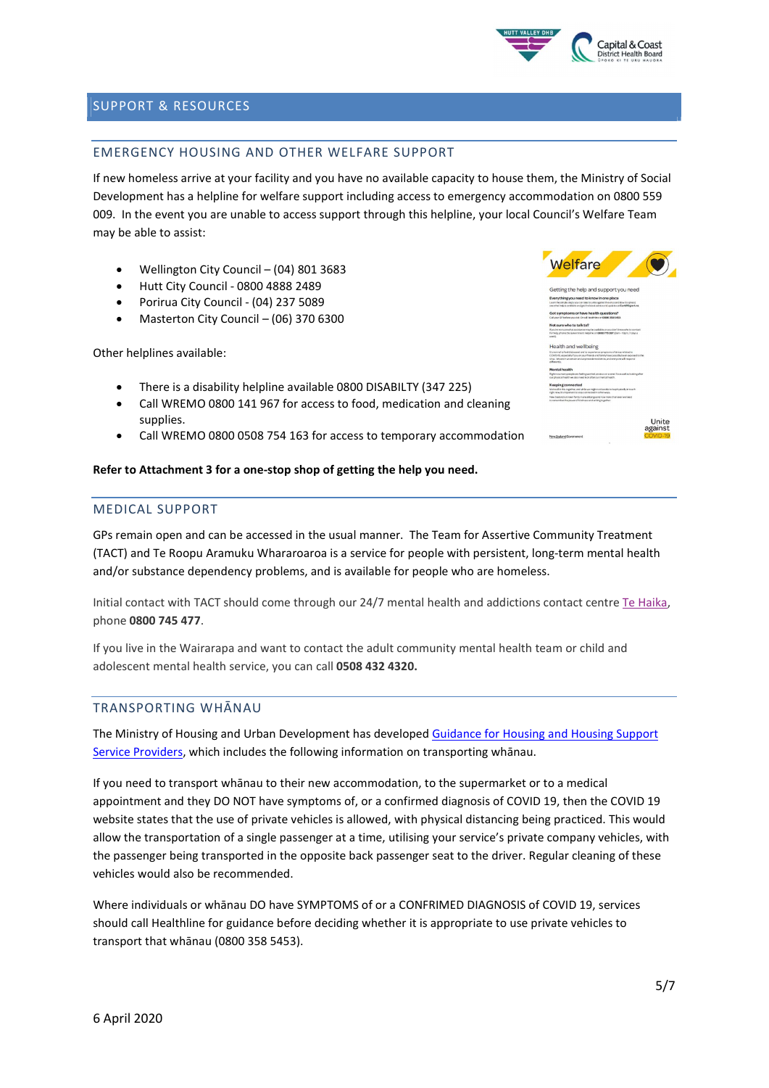

## SUPPORT & RESOURCES

## EMERGENCY HOUSING AND OTHER WELFARE SUPPORT

If new homeless arrive at your facility and you have no available capacity to house them, the Ministry of Social Development has a helpline for welfare support including access to emergency accommodation on 0800 559 009. In the event you are unable to access support through this helpline, your local Council's Welfare Team may be able to assist:

- Wellington City Council (04) 801 3683
- Hutt City Council 0800 4888 2489
- Porirua City Council (04) 237 5089
- Masterton City Council (06) 370 6300

Other helplines available:

- There is a disability helpline available 0800 DISABILTY (347 225)
- Call WREMO 0800 141 967 for access to food, medication and cleaning supplies.
- Call WREMO 0800 0508 754 163 for access to temporary accommodation

#### Refer to Attachment 3 for a one-stop shop of getting the help you need.

#### MEDICAL SUPPORT

GPs remain open and can be accessed in the usual manner. The Team for Assertive Community Treatment (TACT) and Te Roopu Aramuku Whararoaroa is a service for people with persistent, long-term mental health and/or substance dependency problems, and is available for people who are homeless.

Initial contact with TACT should come through our 24/7 mental health and addictions contact centre Te Haika, phone 0800 745 477.

If you live in the Wairarapa and want to contact the adult community mental health team or child and adolescent mental health service, you can call 0508 432 4320.

#### TRANSPORTING WHĀNAU

The Ministry of Housing and Urban Development has developed Guidance for Housing and Housing Support Service Providers, which includes the following information on transporting whānau.

If you need to transport whānau to their new accommodation, to the supermarket or to a medical appointment and they DO NOT have symptoms of, or a confirmed diagnosis of COVID 19, then the COVID 19 website states that the use of private vehicles is allowed, with physical distancing being practiced. This would allow the transportation of a single passenger at a time, utilising your service's private company vehicles, with the passenger being transported in the opposite back passenger seat to the driver. Regular cleaning of these vehicles would also be recommended.

Where individuals or whānau DO have SYMPTOMS of or a CONFRIMED DIAGNOSIS of COVID 19, services should call Healthline for guidance before deciding whether it is appropriate to use private vehicles to transport that whānau (0800 358 5453).



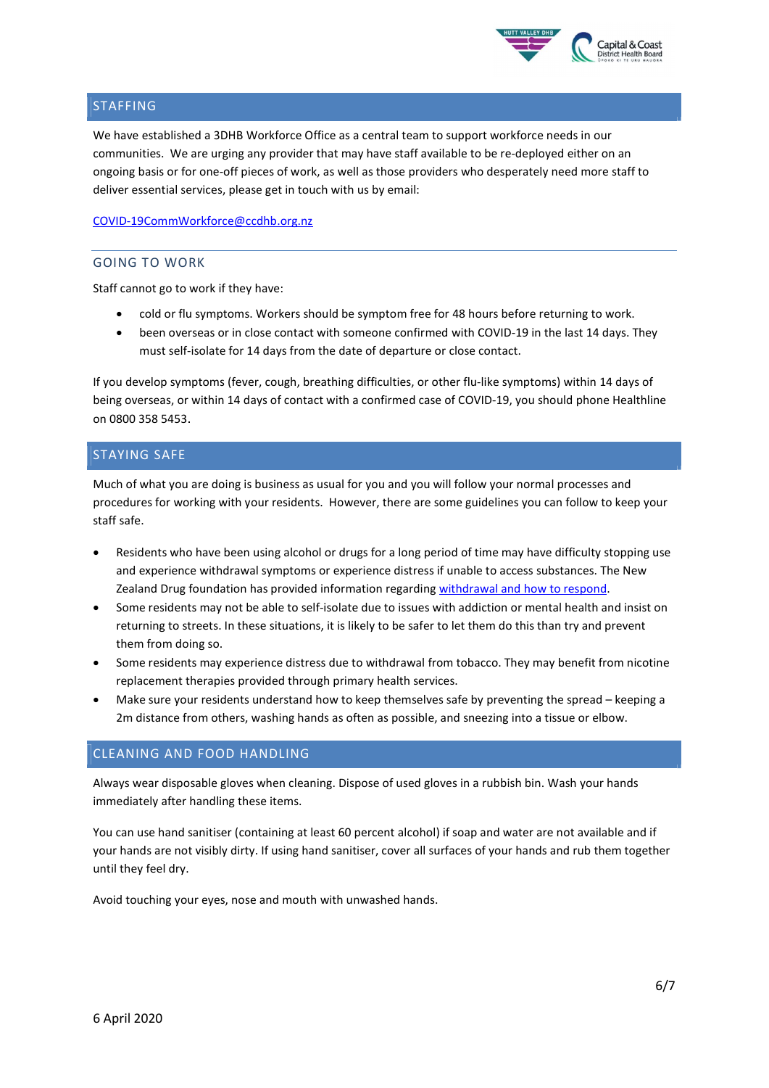

## STAFFING

We have established a 3DHB Workforce Office as a central team to support workforce needs in our communities. We are urging any provider that may have staff available to be re-deployed either on an ongoing basis or for one-off pieces of work, as well as those providers who desperately need more staff to deliver essential services, please get in touch with us by email:

COVID-19CommWorkforce@ccdhb.org.nz

## GOING TO WORK

Staff cannot go to work if they have:

- cold or flu symptoms. Workers should be symptom free for 48 hours before returning to work.
- been overseas or in close contact with someone confirmed with COVID-19 in the last 14 days. They must self-isolate for 14 days from the date of departure or close contact.

If you develop symptoms (fever, cough, breathing difficulties, or other flu-like symptoms) within 14 days of being overseas, or within 14 days of contact with a confirmed case of COVID-19, you should phone Healthline on 0800 358 5453.

## STAYING SAFE

Much of what you are doing is business as usual for you and you will follow your normal processes and procedures for working with your residents. However, there are some guidelines you can follow to keep your staff safe.

- Residents who have been using alcohol or drugs for a long period of time may have difficulty stopping use and experience withdrawal symptoms or experience distress if unable to access substances. The New Zealand Drug foundation has provided information regarding withdrawal and how to respond.
- Some residents may not be able to self-isolate due to issues with addiction or mental health and insist on returning to streets. In these situations, it is likely to be safer to let them do this than try and prevent them from doing so.
- Some residents may experience distress due to withdrawal from tobacco. They may benefit from nicotine replacement therapies provided through primary health services.
- Make sure your residents understand how to keep themselves safe by preventing the spread keeping a 2m distance from others, washing hands as often as possible, and sneezing into a tissue or elbow.

## CLEANING AND FOOD HANDLING

Always wear disposable gloves when cleaning. Dispose of used gloves in a rubbish bin. Wash your hands immediately after handling these items.

You can use hand sanitiser (containing at least 60 percent alcohol) if soap and water are not available and if your hands are not visibly dirty. If using hand sanitiser, cover all surfaces of your hands and rub them together until they feel dry.

Avoid touching your eyes, nose and mouth with unwashed hands.